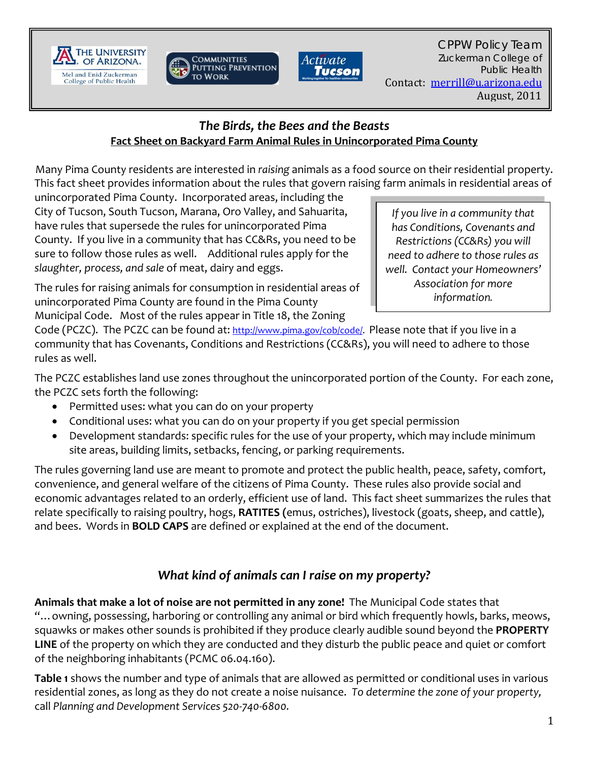





### *The Birds, the Bees and the Beasts* **Fact Sheet on Backyard Farm Animal Rules in Unincorporated Pima County**

Many Pima County residents are interested in *raising* animals as a food source on their residential property. This fact sheet provides information about the rules that govern raising farm animals in residential areas of

unincorporated Pima County. Incorporated areas, including the City of Tucson, South Tucson, Marana, Oro Valley, and Sahuarita, have rules that supersede the rules for unincorporated Pima County. If you live in a community that has CC&Rs, you need to be sure to follow those rules as well. Additional rules apply for the *slaughter, process, and sale* of meat, dairy and eggs.

*If you live in a community that has Conditions, Covenants and Restrictions (CC&Rs) you will need to adhere to those rules as well. Contact your Homeowners' Association for more information.*

The rules for raising animals for consumption in residential areas of unincorporated Pima County are found in the Pima County Municipal Code. Most of the rules appear in Title 18, the Zoning

Code (PCZC). The PCZC can be found at: http://www.pima.gov/cob/code/. Please note that if you live in a community that has Covenants, Conditions and Restrictions (CC&Rs), you will need to adhere to those rules as well.

The PCZC establishes land use zones throughout the unincorporated portion of the County. For each zone, the PCZC sets forth the following:

- Permitted uses: what you can do on your property
- Conditional uses: what you can do on your property if you get special permission
- Development standards: specific rules for the use of your property, which may include minimum site areas, building limits, setbacks, fencing, or parking requirements.

The rules governing land use are meant to promote and protect the public health, peace, safety, comfort, convenience, and general welfare of the citizens of Pima County. These rules also provide social and economic advantages related to an orderly, efficient use of land. This fact sheet summarizes the rules that relate specifically to raising poultry, hogs, **RATITES (**emus, ostriches), livestock (goats, sheep, and cattle), and bees. Words in **BOLD CAPS** are defined or explained at the end of the document.

# *What kind of animals can I raise on my property?*

**Animals that make a lot of noise are not permitted in any zone!** The Municipal Code states that "…owning, possessing, harboring or controlling any animal or bird which frequently howls, barks, meows, squawks or makes other sounds is prohibited if they produce clearly audible sound beyond the **PROPERTY LINE** of the property on which they are conducted and they disturb the public peace and quiet or comfort of the neighboring inhabitants (PCMC 06.04.160).

**Table 1** shows the number and type of animals that are allowed as permitted or conditional uses in various residential zones, as long as they do not create a noise nuisance. *To determine the zone of your property,* call *Planning and Development Services 520‐740‐6800.*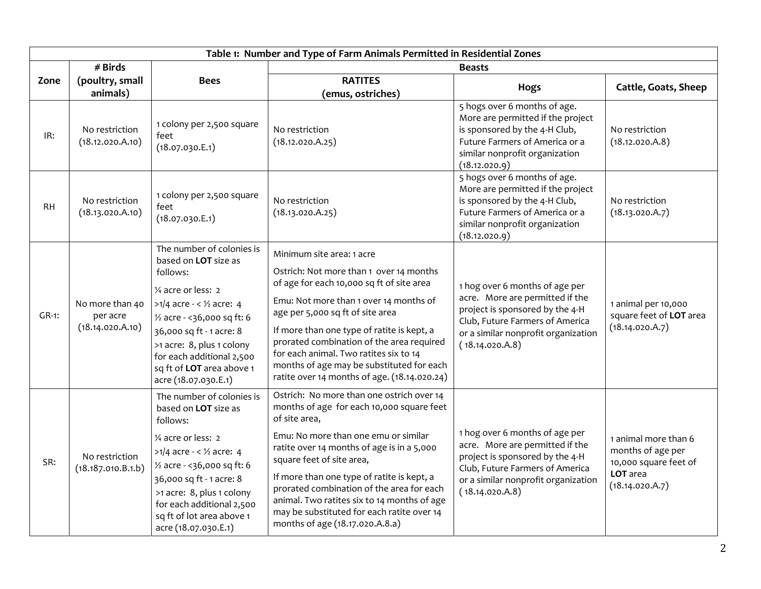|           | Table 1: Number and Type of Farm Animals Permitted in Residential Zones |                                                                                                                                                                                                                                                                                                                                |                                                                                                                                                                                                                                                                                                                                                                                                                                                       |                                                                                                                                                                                                   |                                                                                                   |  |  |
|-----------|-------------------------------------------------------------------------|--------------------------------------------------------------------------------------------------------------------------------------------------------------------------------------------------------------------------------------------------------------------------------------------------------------------------------|-------------------------------------------------------------------------------------------------------------------------------------------------------------------------------------------------------------------------------------------------------------------------------------------------------------------------------------------------------------------------------------------------------------------------------------------------------|---------------------------------------------------------------------------------------------------------------------------------------------------------------------------------------------------|---------------------------------------------------------------------------------------------------|--|--|
|           | # Birds                                                                 |                                                                                                                                                                                                                                                                                                                                | <b>Beasts</b>                                                                                                                                                                                                                                                                                                                                                                                                                                         |                                                                                                                                                                                                   |                                                                                                   |  |  |
| Zone      | (poultry, small<br>animals)                                             | <b>Bees</b>                                                                                                                                                                                                                                                                                                                    | <b>RATITES</b><br>(emus, ostriches)                                                                                                                                                                                                                                                                                                                                                                                                                   | <b>Hogs</b>                                                                                                                                                                                       | Cattle, Goats, Sheep                                                                              |  |  |
| IR:       | No restriction<br>(18.12.020.A.10)                                      | 1 colony per 2,500 square<br>feet<br>(18.07.030.E.1)                                                                                                                                                                                                                                                                           | No restriction<br>(18.12.020.A.25)                                                                                                                                                                                                                                                                                                                                                                                                                    | 5 hogs over 6 months of age.<br>More are permitted if the project<br>is sponsored by the 4-H Club,<br>Future Farmers of America or a<br>similar nonprofit organization<br>(18.12.020.9)           | No restriction<br>(18.12.020.A.8)                                                                 |  |  |
| <b>RH</b> | No restriction<br>(18.13.020.A.10)                                      | 1 colony per 2,500 square<br>feet<br>(18.07.030.E.1)                                                                                                                                                                                                                                                                           | No restriction<br>(18.13.020.A.25)                                                                                                                                                                                                                                                                                                                                                                                                                    | 5 hogs over 6 months of age.<br>More are permitted if the project<br>is sponsored by the 4-H Club,<br>Future Farmers of America or a<br>similar nonprofit organization<br>(18.12.020.9)           | No restriction<br>(18.13.020.A.7)                                                                 |  |  |
| $GR-1$ :  | No more than 40<br>per acre<br>(18.14.020.A.10)                         | The number of colonies is<br>based on LOT size as<br>follows:<br>1/4 acre or less: 2<br>$>1/4$ acre - < $\frac{1}{2}$ acre: 4<br>1/ <sub>2</sub> acre - < 36,000 sq ft: 6<br>36,000 sq ft - 1 acre: 8<br>>1 acre: 8, plus 1 colony<br>for each additional 2,500<br>sq ft of LOT area above 1<br>acre (18.07.030.E.1)           | Minimum site area: 1 acre<br>Ostrich: Not more than 1 over 14 months<br>of age for each 10,000 sq ft of site area<br>Emu: Not more than 1 over 14 months of<br>age per 5,000 sq ft of site area<br>If more than one type of ratite is kept, a<br>prorated combination of the area required<br>for each animal. Two ratites six to 14<br>months of age may be substituted for each<br>ratite over 14 months of age. (18.14.020.24)                     | 1 hog over 6 months of age per<br>acre. More are permitted if the<br>project is sponsored by the 4-H<br>Club, Future Farmers of America<br>or a similar nonprofit organization<br>(18.14.020.A.8) | 1 animal per 10,000<br>square feet of LOT area<br>(18.14.020.A.7)                                 |  |  |
| SR:       | No restriction<br>(18.187.010.B.1.b)                                    | The number of colonies is<br>based on LOT size as<br>follows:<br>1/ <sub>4</sub> acre or less: 2<br>>1/4 acre - < $\frac{1}{2}$ acre: 4<br>1/ <sub>2</sub> acre - < 36,000 sq ft: 6<br>36,000 sq ft - 1 acre: 8<br>>1 acre: 8, plus 1 colony<br>for each additional 2,500<br>sq ft of lot area above 1<br>acre (18.07.030.E.1) | Ostrich: No more than one ostrich over 14<br>months of age for each 10,000 square feet<br>of site area,<br>Emu: No more than one emu or similar<br>ratite over 14 months of age is in a 5,000<br>square feet of site area,<br>If more than one type of ratite is kept, a<br>prorated combination of the area for each<br>animal. Two ratites six to 14 months of age<br>may be substituted for each ratite over 14<br>months of age (18.17.020.A.8.a) | 1 hog over 6 months of age per<br>acre. More are permitted if the<br>project is sponsored by the 4-H<br>Club, Future Farmers of America<br>or a similar nonprofit organization<br>(18.14.020.A.8) | 1 animal more than 6<br>months of age per<br>10,000 square feet of<br>LOT area<br>(18.14.020.A.7) |  |  |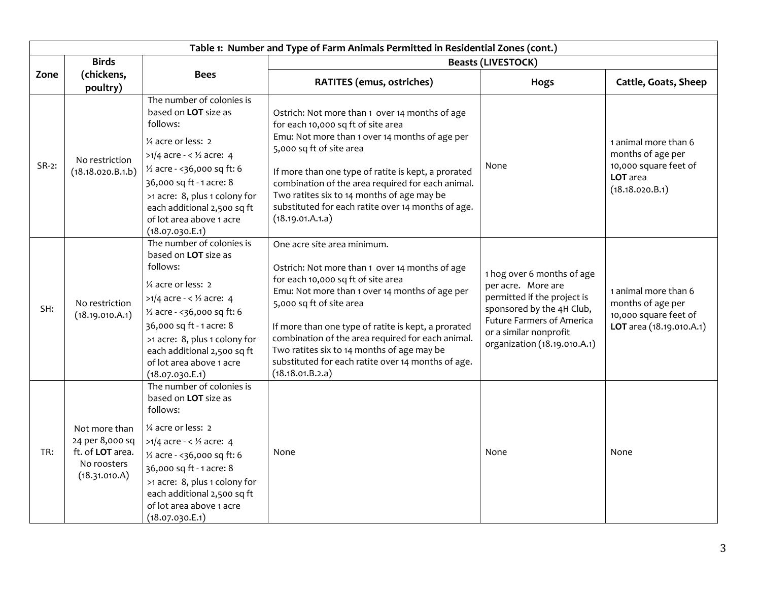| Table 1: Number and Type of Farm Animals Permitted in Residential Zones (cont.) |                                                                                      |                                                                                                                                                                                                                                                                                                                                |                                                                                                                                                                                                                                                                                                                                                                                                                                       |                                                                                                                                                                                                            |                                                                                                   |  |  |
|---------------------------------------------------------------------------------|--------------------------------------------------------------------------------------|--------------------------------------------------------------------------------------------------------------------------------------------------------------------------------------------------------------------------------------------------------------------------------------------------------------------------------|---------------------------------------------------------------------------------------------------------------------------------------------------------------------------------------------------------------------------------------------------------------------------------------------------------------------------------------------------------------------------------------------------------------------------------------|------------------------------------------------------------------------------------------------------------------------------------------------------------------------------------------------------------|---------------------------------------------------------------------------------------------------|--|--|
| <b>Birds</b>                                                                    |                                                                                      |                                                                                                                                                                                                                                                                                                                                | <b>Beasts (LIVESTOCK)</b>                                                                                                                                                                                                                                                                                                                                                                                                             |                                                                                                                                                                                                            |                                                                                                   |  |  |
| Zone                                                                            | (chickens,                                                                           | <b>Bees</b>                                                                                                                                                                                                                                                                                                                    | RATITES (emus, ostriches)                                                                                                                                                                                                                                                                                                                                                                                                             | Hogs                                                                                                                                                                                                       | <b>Cattle, Goats, Sheep</b>                                                                       |  |  |
|                                                                                 | poultry)                                                                             |                                                                                                                                                                                                                                                                                                                                |                                                                                                                                                                                                                                                                                                                                                                                                                                       |                                                                                                                                                                                                            |                                                                                                   |  |  |
| SR-2:                                                                           | No restriction<br>(18.18.020.B.1.b)                                                  | The number of colonies is<br>based on LOT size as<br>follows:<br>1/4 acre or less: 2<br>>1/4 acre - < $\frac{1}{2}$ acre: 4<br>1/ <sub>2</sub> acre - < 36,000 sq ft: 6<br>36,000 sq ft - 1 acre: 8<br>>1 acre: 8, plus 1 colony for<br>each additional 2,500 sq ft<br>of lot area above 1 acre<br>(18.07.030.E.1)             | Ostrich: Not more than 1 over 14 months of age<br>for each 10,000 sq ft of site area<br>Emu: Not more than 1 over 14 months of age per<br>5,000 sq ft of site area<br>If more than one type of ratite is kept, a prorated<br>combination of the area required for each animal.<br>Two ratites six to 14 months of age may be<br>substituted for each ratite over 14 months of age.<br>(18.19.01.A.1.a)                                | None                                                                                                                                                                                                       | 1 animal more than 6<br>months of age per<br>10,000 square feet of<br>LOT area<br>(18.18.020.B.1) |  |  |
| SH:                                                                             | No restriction<br>(18.19.010.A.1)                                                    | The number of colonies is<br>based on <b>LOT</b> size as<br>follows:<br>1/4 acre or less: 2<br>>1/4 acre - < $\frac{1}{2}$ acre: 4<br>1/ <sub>2</sub> acre - < 36,000 sq ft: 6<br>36,000 sq ft - 1 acre: 8<br>>1 acre: 8, plus 1 colony for<br>each additional 2,500 sq ft<br>of lot area above 1 acre<br>(18.07.030.E.1)      | One acre site area minimum.<br>Ostrich: Not more than 1 over 14 months of age<br>for each 10,000 sq ft of site area<br>Emu: Not more than 1 over 14 months of age per<br>5,000 sq ft of site area<br>If more than one type of ratite is kept, a prorated<br>combination of the area required for each animal.<br>Two ratites six to 14 months of age may be<br>substituted for each ratite over 14 months of age.<br>(18.18.01.B.2.a) | 1 hog over 6 months of age<br>per acre. More are<br>permitted if the project is<br>sponsored by the 4H Club,<br><b>Future Farmers of America</b><br>or a similar nonprofit<br>organization (18.19.010.A.1) | 1 animal more than 6<br>months of age per<br>10,000 square feet of<br>LOT area (18.19.010.A.1)    |  |  |
| TR:                                                                             | Not more than<br>24 per 8,000 sq<br>ft. of LOT area.<br>No roosters<br>(18.31.010.A) | The number of colonies is<br>based on LOT size as<br>follows:<br>1/ <sub>4</sub> acre or less: 2<br>>1/4 acre - < $\frac{1}{2}$ acre: 4<br>1/ <sub>2</sub> acre - < 36,000 sq ft: 6<br>36,000 sq ft - 1 acre: 8<br>>1 acre: 8, plus 1 colony for<br>each additional 2,500 sq ft<br>of lot area above 1 acre<br>(18.07.030.E.1) | None                                                                                                                                                                                                                                                                                                                                                                                                                                  | None                                                                                                                                                                                                       | None                                                                                              |  |  |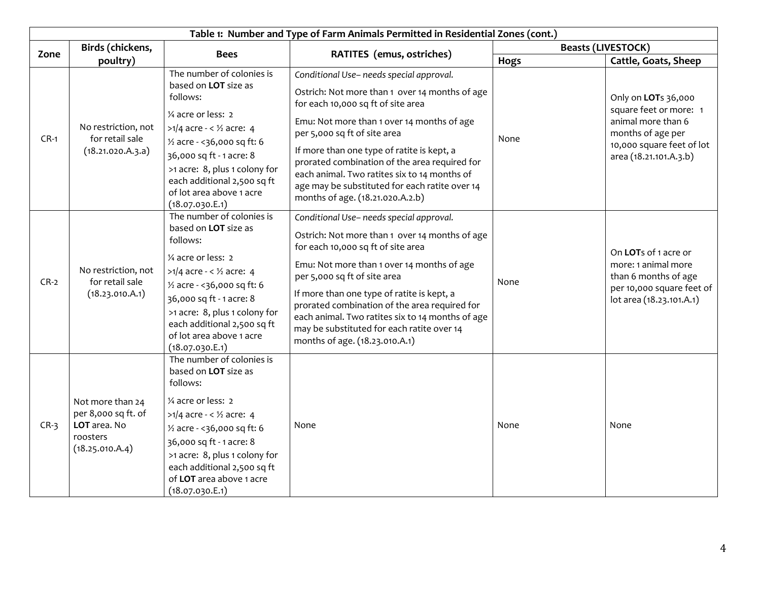|        | Table 1: Number and Type of Farm Animals Permitted in Residential Zones (cont.)        |                                                                                                                                                                                                                                                                                                                             |                                                                                                                                                                                                                                                                                                                                                                                                                                                     |                           |                                                                                                                                                 |  |  |
|--------|----------------------------------------------------------------------------------------|-----------------------------------------------------------------------------------------------------------------------------------------------------------------------------------------------------------------------------------------------------------------------------------------------------------------------------|-----------------------------------------------------------------------------------------------------------------------------------------------------------------------------------------------------------------------------------------------------------------------------------------------------------------------------------------------------------------------------------------------------------------------------------------------------|---------------------------|-------------------------------------------------------------------------------------------------------------------------------------------------|--|--|
| Zone   | Birds (chickens,<br>poultry)                                                           | <b>Bees</b>                                                                                                                                                                                                                                                                                                                 |                                                                                                                                                                                                                                                                                                                                                                                                                                                     | <b>Beasts (LIVESTOCK)</b> |                                                                                                                                                 |  |  |
|        |                                                                                        |                                                                                                                                                                                                                                                                                                                             | RATITES (emus, ostriches)                                                                                                                                                                                                                                                                                                                                                                                                                           | Hogs                      | Cattle, Goats, Sheep                                                                                                                            |  |  |
| $CR-1$ | No restriction, not<br>for retail sale<br>(18.21.020.A.3.a)                            | The number of colonies is<br>based on <b>LOT</b> size as<br>follows:<br>1/4 acre or less: 2<br>$>1/4$ acre - < $\frac{1}{2}$ acre: 4<br>1/ <sub>2</sub> acre - < 36,000 sq ft: 6<br>36,000 sq ft - 1 acre: 8<br>>1 acre: 8, plus 1 colony for<br>each additional 2,500 sq ft<br>of lot area above 1 acre<br>(18.07.030.E.1) | Conditional Use- needs special approval.<br>Ostrich: Not more than 1 over 14 months of age<br>for each 10,000 sq ft of site area<br>Emu: Not more than 1 over 14 months of age<br>per 5,000 sq ft of site area<br>If more than one type of ratite is kept, a<br>prorated combination of the area required for<br>each animal. Two ratites six to 14 months of<br>age may be substituted for each ratite over 14<br>months of age. (18.21.020.A.2.b) | None                      | Only on LOTs 36,000<br>square feet or more: 1<br>animal more than 6<br>months of age per<br>10,000 square feet of lot<br>area (18.21.101.A.3.b) |  |  |
| $CR-2$ | No restriction, not<br>for retail sale<br>(18.23.010.A.1)                              | The number of colonies is<br>based on LOT size as<br>follows:<br>1/4 acre or less: 2<br>$>1/4$ acre - < $\frac{1}{2}$ acre: 4<br>1/ <sub>2</sub> acre - < 36,000 sq ft: 6<br>36,000 sq ft - 1 acre: 8<br>>1 acre: 8, plus 1 colony for<br>each additional 2,500 sq ft<br>of lot area above 1 acre<br>(18.07.030.E.1)        | Conditional Use- needs special approval.<br>Ostrich: Not more than 1 over 14 months of age<br>for each 10,000 sq ft of site area<br>Emu: Not more than 1 over 14 months of age<br>per 5,000 sq ft of site area<br>If more than one type of ratite is kept, a<br>prorated combination of the area required for<br>each animal. Two ratites six to 14 months of age<br>may be substituted for each ratite over 14<br>months of age. (18.23.010.A.1)   | None                      | On LOTs of 1 acre or<br>more: 1 animal more<br>than 6 months of age<br>per 10,000 square feet of<br>lot area (18.23.101.A.1)                    |  |  |
| $CR-3$ | Not more than 24<br>per 8,000 sq ft. of<br>LOT area. No<br>roosters<br>(18.25.010.A.4) | The number of colonies is<br>based on <b>LOT</b> size as<br>follows:<br>1/4 acre or less: 2<br>>1/4 acre - < $\frac{1}{2}$ acre: 4<br>1/ <sub>2</sub> acre - < 36,000 sq ft: 6<br>36,000 sq ft - 1 acre: 8<br>>1 acre: 8, plus 1 colony for<br>each additional 2,500 sq ft<br>of LOT area above 1 acre<br>(18.07.030.E.1)   | None                                                                                                                                                                                                                                                                                                                                                                                                                                                | None                      | None                                                                                                                                            |  |  |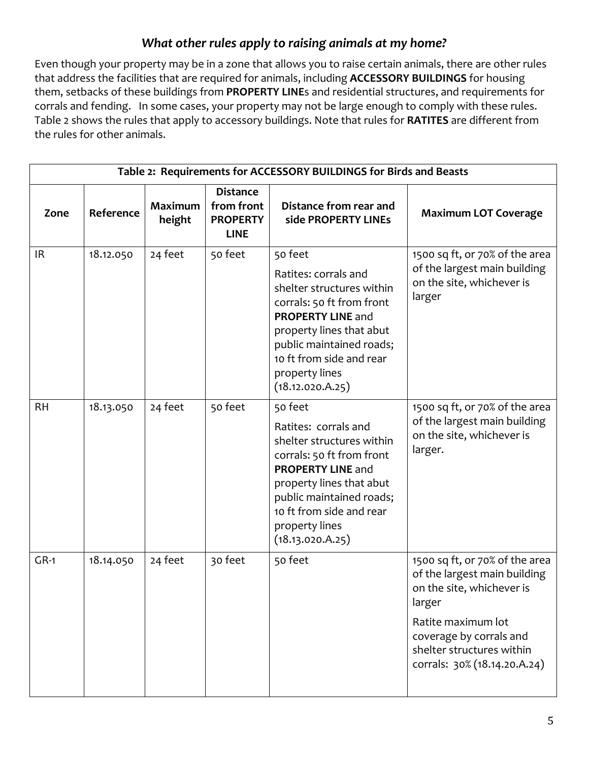## *What other rules apply to raising animals at my home?*

Even though your property may be in a zone that allows you to raise certain animals, there are other rules that address the facilities that are required for animals, including **ACCESSORY BUILDINGS** for housing them, setbacks of these buildings from **PROPERTY LINE**s and residential structures, and requirements for corrals and fending. In some cases, your property may not be large enough to comply with these rules. Table 2 shows the rules that apply to accessory buildings. Note that rules for **RATITES** are different from the rules for other animals.

| Table 2: Requirements for ACCESSORY BUILDINGS for Birds and Beasts |           |                          |                                                                 |                                                                                                                                                                                                                                                 |                                                                                                                                                                                                                     |
|--------------------------------------------------------------------|-----------|--------------------------|-----------------------------------------------------------------|-------------------------------------------------------------------------------------------------------------------------------------------------------------------------------------------------------------------------------------------------|---------------------------------------------------------------------------------------------------------------------------------------------------------------------------------------------------------------------|
| Zone                                                               | Reference | <b>Maximum</b><br>height | <b>Distance</b><br>from front<br><b>PROPERTY</b><br><b>LINE</b> | Distance from rear and<br>side PROPERTY LINEs                                                                                                                                                                                                   | <b>Maximum LOT Coverage</b>                                                                                                                                                                                         |
| IR.                                                                | 18.12.050 | 24 feet                  | 50 feet                                                         | 50 feet<br>Ratites: corrals and<br>shelter structures within<br>corrals: 50 ft from front<br><b>PROPERTY LINE and</b><br>property lines that abut<br>public maintained roads;<br>10 ft from side and rear<br>property lines<br>(18.12.020.A.25) | 1500 sq ft, or 70% of the area<br>of the largest main building<br>on the site, whichever is<br>larger                                                                                                               |
| <b>RH</b>                                                          | 18.13.050 | 24 feet                  | 50 feet                                                         | 50 feet<br>Ratites: corrals and<br>shelter structures within<br>corrals: 50 ft from front<br>PROPERTY LINE and<br>property lines that abut<br>public maintained roads;<br>10 ft from side and rear<br>property lines<br>(18.13.020.A.25)        | 1500 sq ft, or 70% of the area<br>of the largest main building<br>on the site, whichever is<br>larger.                                                                                                              |
| $GR-1$                                                             | 18.14.050 | 24 feet                  | 30 feet                                                         | 50 feet                                                                                                                                                                                                                                         | 1500 sq ft, or 70% of the area<br>of the largest main building<br>on the site, whichever is<br>larger<br>Ratite maximum lot<br>coverage by corrals and<br>shelter structures within<br>corrals: 30% (18.14.20.A.24) |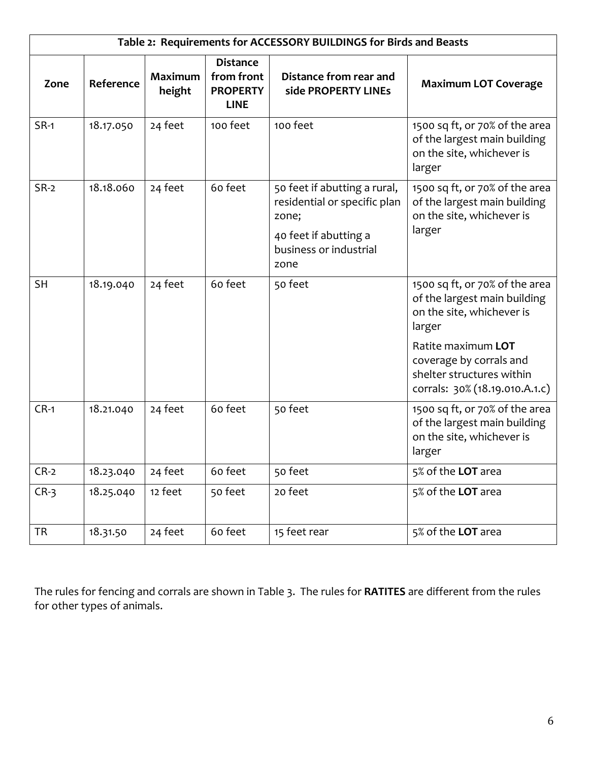| Table 2: Requirements for ACCESSORY BUILDINGS for Birds and Beasts |           |                          |                                                                 |                                                                                                                                  |                                                                                                                                                                                                                       |
|--------------------------------------------------------------------|-----------|--------------------------|-----------------------------------------------------------------|----------------------------------------------------------------------------------------------------------------------------------|-----------------------------------------------------------------------------------------------------------------------------------------------------------------------------------------------------------------------|
| Zone                                                               | Reference | <b>Maximum</b><br>height | <b>Distance</b><br>from front<br><b>PROPERTY</b><br><b>LINE</b> | Distance from rear and<br>side PROPERTY LINEs                                                                                    | <b>Maximum LOT Coverage</b>                                                                                                                                                                                           |
| $SR-1$                                                             | 18.17.050 | 24 feet                  | 100 feet                                                        | 100 feet                                                                                                                         | 1500 sq ft, or 70% of the area<br>of the largest main building<br>on the site, whichever is<br>larger                                                                                                                 |
| $SR-2$                                                             | 18.18.060 | 24 feet                  | 60 feet                                                         | 50 feet if abutting a rural,<br>residential or specific plan<br>zone;<br>40 feet if abutting a<br>business or industrial<br>zone | 1500 sq ft, or 70% of the area<br>of the largest main building<br>on the site, whichever is<br>larger                                                                                                                 |
| <b>SH</b>                                                          | 18.19.040 | 24 feet                  | 60 feet                                                         | 50 feet                                                                                                                          | 1500 sq ft, or 70% of the area<br>of the largest main building<br>on the site, whichever is<br>larger<br>Ratite maximum LOT<br>coverage by corrals and<br>shelter structures within<br>corrals: 30% (18.19.010.A.1.c) |
| $CR-1$                                                             | 18.21.040 | 24 feet                  | 60 feet                                                         | 50 feet                                                                                                                          | 1500 sq ft, or 70% of the area<br>of the largest main building<br>on the site, whichever is<br>larger                                                                                                                 |
| $CR-2$                                                             | 18.23.040 | 24 feet                  | 60 feet                                                         | 50 feet                                                                                                                          | 5% of the LOT area                                                                                                                                                                                                    |
| $CR-3$                                                             | 18.25.040 | 12 feet                  | 50 feet                                                         | 20 feet                                                                                                                          | 5% of the LOT area                                                                                                                                                                                                    |
| <b>TR</b>                                                          | 18.31.50  | 24 feet                  | 60 feet                                                         | 15 feet rear                                                                                                                     | 5% of the LOT area                                                                                                                                                                                                    |

The rules for fencing and corrals are shown in Table 3. The rules for **RATITES** are different from the rules for other types of animals.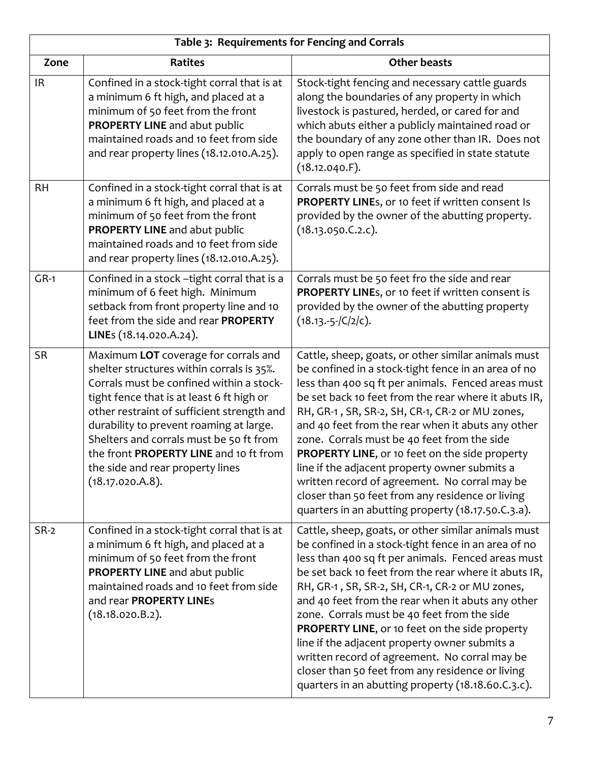|           | Table 3: Requirements for Fencing and Corrals                                                                                                                                                                                                                                                                                                                                                                    |                                                                                                                                                                                                                                                                                                                                                                                                                                                                                                                                                                                                                                               |  |  |
|-----------|------------------------------------------------------------------------------------------------------------------------------------------------------------------------------------------------------------------------------------------------------------------------------------------------------------------------------------------------------------------------------------------------------------------|-----------------------------------------------------------------------------------------------------------------------------------------------------------------------------------------------------------------------------------------------------------------------------------------------------------------------------------------------------------------------------------------------------------------------------------------------------------------------------------------------------------------------------------------------------------------------------------------------------------------------------------------------|--|--|
| Zone      | <b>Ratites</b>                                                                                                                                                                                                                                                                                                                                                                                                   | <b>Other beasts</b>                                                                                                                                                                                                                                                                                                                                                                                                                                                                                                                                                                                                                           |  |  |
| <b>IR</b> | Confined in a stock-tight corral that is at<br>a minimum 6 ft high, and placed at a<br>minimum of 50 feet from the front<br>PROPERTY LINE and abut public<br>maintained roads and 10 feet from side<br>and rear property lines (18.12.010.A.25).                                                                                                                                                                 | Stock-tight fencing and necessary cattle guards<br>along the boundaries of any property in which<br>livestock is pastured, herded, or cared for and<br>which abuts either a publicly maintained road or<br>the boundary of any zone other than IR. Does not<br>apply to open range as specified in state statute<br>(18.12.040.F).                                                                                                                                                                                                                                                                                                            |  |  |
| <b>RH</b> | Confined in a stock-tight corral that is at<br>a minimum 6 ft high, and placed at a<br>minimum of 50 feet from the front<br>PROPERTY LINE and abut public<br>maintained roads and 10 feet from side<br>and rear property lines (18.12.010.A.25).                                                                                                                                                                 | Corrals must be 50 feet from side and read<br>PROPERTY LINEs, or 10 feet if written consent Is<br>provided by the owner of the abutting property.<br>(18.13.050.C.2.c).                                                                                                                                                                                                                                                                                                                                                                                                                                                                       |  |  |
| $GR-1$    | Confined in a stock -tight corral that is a<br>minimum of 6 feet high. Minimum<br>setback from front property line and 10<br>feet from the side and rear PROPERTY<br>LINEs (18.14.020.A.24).                                                                                                                                                                                                                     | Corrals must be 50 feet fro the side and rear<br>PROPERTY LINEs, or 10 feet if written consent is<br>provided by the owner of the abutting property<br>$(18.13.-5- C/2 c).$                                                                                                                                                                                                                                                                                                                                                                                                                                                                   |  |  |
| <b>SR</b> | Maximum LOT coverage for corrals and<br>shelter structures within corrals is 35%.<br>Corrals must be confined within a stock-<br>tight fence that is at least 6 ft high or<br>other restraint of sufficient strength and<br>durability to prevent roaming at large.<br>Shelters and corrals must be 50 ft from<br>the front PROPERTY LINE and 10 ft from<br>the side and rear property lines<br>(18.17.020.A.8). | Cattle, sheep, goats, or other similar animals must<br>be confined in a stock-tight fence in an area of no<br>less than 400 sq ft per animals. Fenced areas must<br>be set back 10 feet from the rear where it abuts IR,<br>RH, GR-1, SR, SR-2, SH, CR-1, CR-2 or MU zones,<br>and 40 feet from the rear when it abuts any other<br>zone. Corrals must be 40 feet from the side<br>PROPERTY LINE, or 10 feet on the side property<br>line if the adjacent property owner submits a<br>written record of agreement. No corral may be<br>closer than 50 feet from any residence or living<br>quarters in an abutting property (18.17.50.C.3.a). |  |  |
| $SR-2$    | Confined in a stock-tight corral that is at<br>a minimum 6 ft high, and placed at a<br>minimum of 50 feet from the front<br>PROPERTY LINE and abut public<br>maintained roads and 10 feet from side<br>and rear PROPERTY LINEs<br>(18.18.020.B.2).                                                                                                                                                               | Cattle, sheep, goats, or other similar animals must<br>be confined in a stock-tight fence in an area of no<br>less than 400 sq ft per animals. Fenced areas must<br>be set back 10 feet from the rear where it abuts IR,<br>RH, GR-1, SR, SR-2, SH, CR-1, CR-2 or MU zones,<br>and 40 feet from the rear when it abuts any other<br>zone. Corrals must be 40 feet from the side<br>PROPERTY LINE, or 10 feet on the side property<br>line if the adjacent property owner submits a<br>written record of agreement. No corral may be<br>closer than 50 feet from any residence or living<br>quarters in an abutting property (18.18.60.C.3.c). |  |  |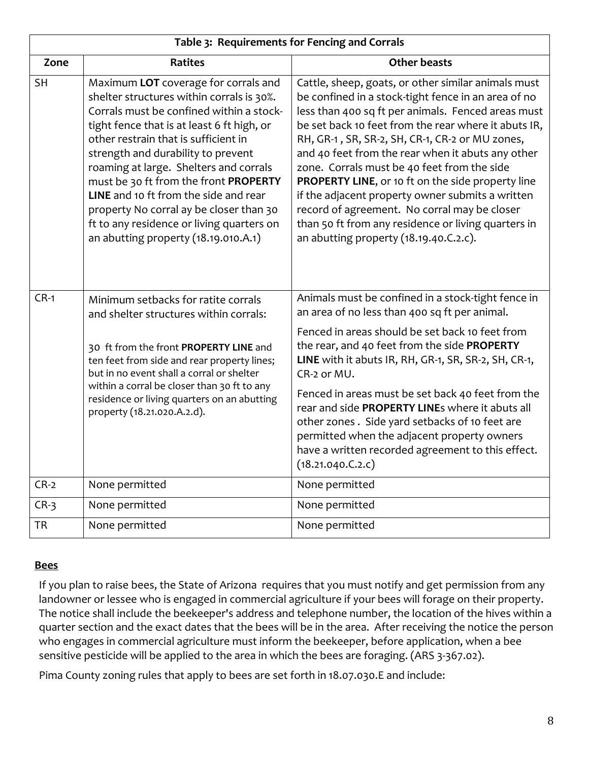| Table 3: Requirements for Fencing and Corrals |                                                                                                                                                                                                                                                                                                                                                                                                                                                                                                                       |                                                                                                                                                                                                                                                                                                                                                                                                                                                                                                                                                                                                                                           |  |  |  |
|-----------------------------------------------|-----------------------------------------------------------------------------------------------------------------------------------------------------------------------------------------------------------------------------------------------------------------------------------------------------------------------------------------------------------------------------------------------------------------------------------------------------------------------------------------------------------------------|-------------------------------------------------------------------------------------------------------------------------------------------------------------------------------------------------------------------------------------------------------------------------------------------------------------------------------------------------------------------------------------------------------------------------------------------------------------------------------------------------------------------------------------------------------------------------------------------------------------------------------------------|--|--|--|
| Zone                                          | <b>Ratites</b>                                                                                                                                                                                                                                                                                                                                                                                                                                                                                                        | <b>Other beasts</b>                                                                                                                                                                                                                                                                                                                                                                                                                                                                                                                                                                                                                       |  |  |  |
| <b>SH</b>                                     | Maximum LOT coverage for corrals and<br>shelter structures within corrals is 30%.<br>Corrals must be confined within a stock-<br>tight fence that is at least 6 ft high, or<br>other restrain that is sufficient in<br>strength and durability to prevent<br>roaming at large. Shelters and corrals<br>must be 30 ft from the front PROPERTY<br>LINE and 10 ft from the side and rear<br>property No corral ay be closer than 30<br>ft to any residence or living quarters on<br>an abutting property (18.19.010.A.1) | Cattle, sheep, goats, or other similar animals must<br>be confined in a stock-tight fence in an area of no<br>less than 400 sq ft per animals. Fenced areas must<br>be set back 10 feet from the rear where it abuts IR,<br>RH, GR-1, SR, SR-2, SH, CR-1, CR-2 or MU zones,<br>and 40 feet from the rear when it abuts any other<br>zone. Corrals must be 40 feet from the side<br>PROPERTY LINE, or 10 ft on the side property line<br>if the adjacent property owner submits a written<br>record of agreement. No corral may be closer<br>than 50 ft from any residence or living quarters in<br>an abutting property (18.19.40.C.2.c). |  |  |  |
| $CR-1$                                        | Minimum setbacks for ratite corrals<br>and shelter structures within corrals:                                                                                                                                                                                                                                                                                                                                                                                                                                         | Animals must be confined in a stock-tight fence in<br>an area of no less than 400 sq ft per animal.                                                                                                                                                                                                                                                                                                                                                                                                                                                                                                                                       |  |  |  |
|                                               | 30 ft from the front PROPERTY LINE and<br>ten feet from side and rear property lines;<br>but in no event shall a corral or shelter                                                                                                                                                                                                                                                                                                                                                                                    | Fenced in areas should be set back 10 feet from<br>the rear, and 40 feet from the side PROPERTY<br>LINE with it abuts IR, RH, GR-1, SR, SR-2, SH, CR-1,<br>CR-2 or MU.                                                                                                                                                                                                                                                                                                                                                                                                                                                                    |  |  |  |
|                                               | within a corral be closer than 30 ft to any<br>residence or living quarters on an abutting<br>property (18.21.020.A.2.d).                                                                                                                                                                                                                                                                                                                                                                                             | Fenced in areas must be set back 40 feet from the<br>rear and side PROPERTY LINEs where it abuts all<br>other zones. Side yard setbacks of 10 feet are<br>permitted when the adjacent property owners<br>have a written recorded agreement to this effect.<br>(18.21.040.C.2.c)                                                                                                                                                                                                                                                                                                                                                           |  |  |  |
| $CR-2$                                        | None permitted                                                                                                                                                                                                                                                                                                                                                                                                                                                                                                        | None permitted                                                                                                                                                                                                                                                                                                                                                                                                                                                                                                                                                                                                                            |  |  |  |
| $CR-3$                                        | None permitted                                                                                                                                                                                                                                                                                                                                                                                                                                                                                                        | None permitted                                                                                                                                                                                                                                                                                                                                                                                                                                                                                                                                                                                                                            |  |  |  |
| <b>TR</b>                                     | None permitted                                                                                                                                                                                                                                                                                                                                                                                                                                                                                                        | None permitted                                                                                                                                                                                                                                                                                                                                                                                                                                                                                                                                                                                                                            |  |  |  |

#### **Bees**

If you plan to raise bees, the State of Arizona requires that you must notify and get permission from any landowner or lessee who is engaged in commercial agriculture if your bees will forage on their property. The notice shall include the beekeeper's address and telephone number, the location of the hives within a quarter section and the exact dates that the bees will be in the area. After receiving the notice the person who engages in commercial agriculture must inform the beekeeper, before application, when a bee sensitive pesticide will be applied to the area in which the bees are foraging. (ARS 3-367.02).

Pima County zoning rules that apply to bees are set forth in 18.07.030.E and include: